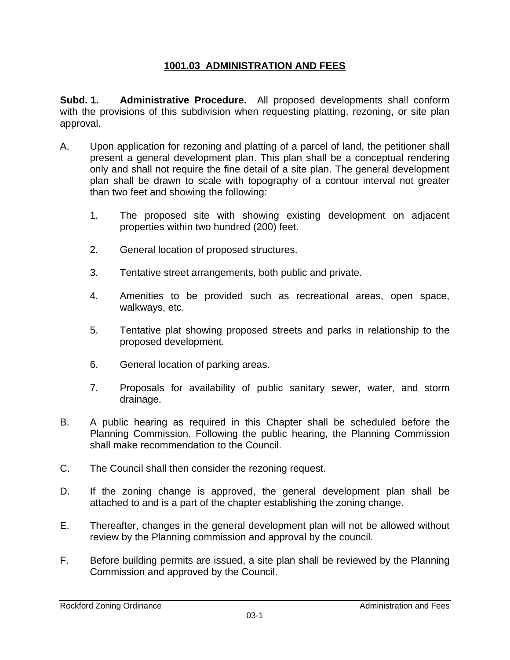### **1001.03 ADMINISTRATION AND FEES**

**Subd. 1. Administrative Procedure.** All proposed developments shall conform with the provisions of this subdivision when requesting platting, rezoning, or site plan approval.

- A. Upon application for rezoning and platting of a parcel of land, the petitioner shall present a general development plan. This plan shall be a conceptual rendering only and shall not require the fine detail of a site plan. The general development plan shall be drawn to scale with topography of a contour interval not greater than two feet and showing the following:
	- 1. The proposed site with showing existing development on adjacent properties within two hundred (200) feet.
	- 2. General location of proposed structures.
	- 3. Tentative street arrangements, both public and private.
	- 4. Amenities to be provided such as recreational areas, open space, walkways, etc.
	- 5. Tentative plat showing proposed streets and parks in relationship to the proposed development.
	- 6. General location of parking areas.
	- 7. Proposals for availability of public sanitary sewer, water, and storm drainage.
- B. A public hearing as required in this Chapter shall be scheduled before the Planning Commission. Following the public hearing, the Planning Commission shall make recommendation to the Council.
- C. The Council shall then consider the rezoning request.
- D. If the zoning change is approved, the general development plan shall be attached to and is a part of the chapter establishing the zoning change.
- E. Thereafter, changes in the general development plan will not be allowed without review by the Planning commission and approval by the council.
- F. Before building permits are issued, a site plan shall be reviewed by the Planning Commission and approved by the Council.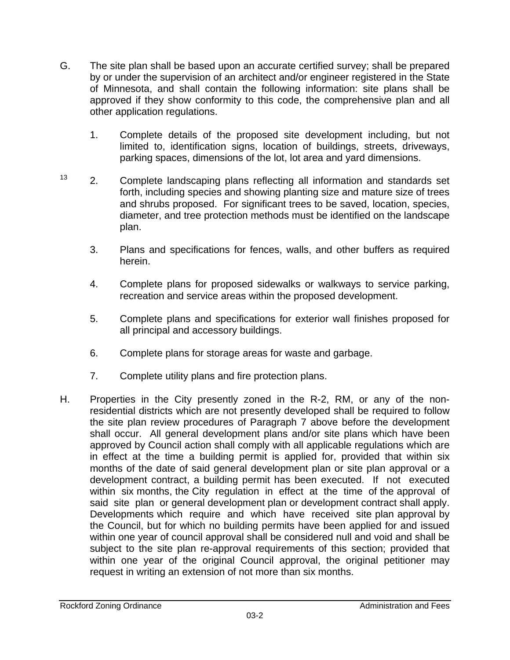- G. The site plan shall be based upon an accurate certified survey; shall be prepared by or under the supervision of an architect and/or engineer registered in the State of Minnesota, and shall contain the following information: site plans shall be approved if they show conformity to this code, the comprehensive plan and all other application regulations.
	- 1. Complete details of the proposed site development including, but not limited to, identification signs, location of buildings, streets, driveways, parking spaces, dimensions of the lot, lot area and yard dimensions.
- $13$  2. Complete landscaping plans reflecting all information and standards set forth, including species and showing planting size and mature size of trees and shrubs proposed. For significant trees to be saved, location, species, diameter, and tree protection methods must be identified on the landscape plan.
	- 3. Plans and specifications for fences, walls, and other buffers as required herein.
	- 4. Complete plans for proposed sidewalks or walkways to service parking, recreation and service areas within the proposed development.
	- 5. Complete plans and specifications for exterior wall finishes proposed for all principal and accessory buildings.
	- 6. Complete plans for storage areas for waste and garbage.
	- 7. Complete utility plans and fire protection plans.
- H. Properties in the City presently zoned in the R-2, RM, or any of the nonresidential districts which are not presently developed shall be required to follow the site plan review procedures of Paragraph 7 above before the development shall occur. All general development plans and/or site plans which have been approved by Council action shall comply with all applicable regulations which are in effect at the time a building permit is applied for, provided that within six months of the date of said general development plan or site plan approval or a development contract, a building permit has been executed. If not executed within six months, the City regulation in effect at the time of the approval of said site plan or general development plan or development contract shall apply. Developments which require and which have received site plan approval by the Council, but for which no building permits have been applied for and issued within one year of council approval shall be considered null and void and shall be subject to the site plan re-approval requirements of this section; provided that within one year of the original Council approval, the original petitioner may request in writing an extension of not more than six months.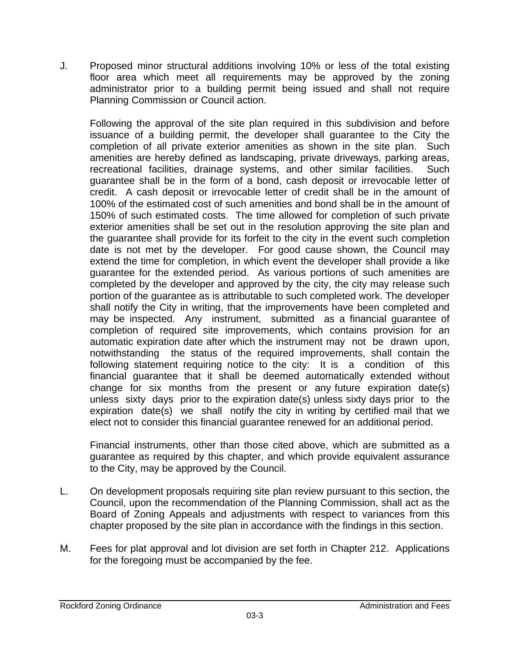J. Proposed minor structural additions involving 10% or less of the total existing floor area which meet all requirements may be approved by the zoning administrator prior to a building permit being issued and shall not require Planning Commission or Council action.

Following the approval of the site plan required in this subdivision and before issuance of a building permit, the developer shall guarantee to the City the completion of all private exterior amenities as shown in the site plan. Such amenities are hereby defined as landscaping, private driveways, parking areas, recreational facilities, drainage systems, and other similar facilities. Such guarantee shall be in the form of a bond, cash deposit or irrevocable letter of credit. A cash deposit or irrevocable letter of credit shall be in the amount of 100% of the estimated cost of such amenities and bond shall be in the amount of 150% of such estimated costs. The time allowed for completion of such private exterior amenities shall be set out in the resolution approving the site plan and the guarantee shall provide for its forfeit to the city in the event such completion date is not met by the developer. For good cause shown, the Council may extend the time for completion, in which event the developer shall provide a like guarantee for the extended period. As various portions of such amenities are completed by the developer and approved by the city, the city may release such portion of the guarantee as is attributable to such completed work. The developer shall notify the City in writing, that the improvements have been completed and may be inspected. Any instrument, submitted as a financial guarantee of completion of required site improvements, which contains provision for an automatic expiration date after which the instrument may not be drawn upon, notwithstanding the status of the required improvements, shall contain the following statement requiring notice to the city: It is a condition of this financial guarantee that it shall be deemed automatically extended without change for six months from the present or any future expiration date(s) unless sixty days prior to the expiration date(s) unless sixty days prior to the expiration date(s) we shall notify the city in writing by certified mail that we elect not to consider this financial guarantee renewed for an additional period.

Financial instruments, other than those cited above, which are submitted as a guarantee as required by this chapter, and which provide equivalent assurance to the City, may be approved by the Council.

- L. On development proposals requiring site plan review pursuant to this section, the Council, upon the recommendation of the Planning Commission, shall act as the Board of Zoning Appeals and adjustments with respect to variances from this chapter proposed by the site plan in accordance with the findings in this section.
- M. Fees for plat approval and lot division are set forth in Chapter 212. Applications for the foregoing must be accompanied by the fee.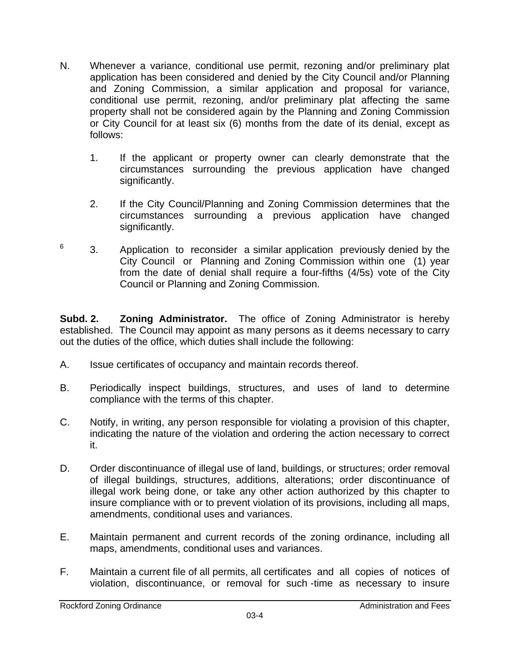- N. Whenever a variance, conditional use permit, rezoning and/or preliminary plat application has been considered and denied by the City Council and/or Planning and Zoning Commission, a similar application and proposal for variance, conditional use permit, rezoning, and/or preliminary plat affecting the same property shall not be considered again by the Planning and Zoning Commission or City Council for at least six (6) months from the date of its denial, except as follows:
	- 1. If the applicant or property owner can clearly demonstrate that the circumstances surrounding the previous application have changed significantly.
	- 2. If the City Council/Planning and Zoning Commission determines that the circumstances surrounding a previous application have changed significantly.
- 6 3. Application to reconsider a similar application previously denied by the City Council or Planning and Zoning Commission within one (1) year from the date of denial shall require a four-fifths (4/5s) vote of the City Council or Planning and Zoning Commission.

**Subd. 2. Zoning Administrator.** The office of Zoning Administrator is hereby established. The Council may appoint as many persons as it deems necessary to carry out the duties of the office, which duties shall include the following:

- A. Issue certificates of occupancy and maintain records thereof.
- B. Periodically inspect buildings, structures, and uses of land to determine compliance with the terms of this chapter.
- C. Notify, in writing, any person responsible for violating a provision of this chapter, indicating the nature of the violation and ordering the action necessary to correct it.
- D. Order discontinuance of illegal use of land, buildings, or structures; order removal of illegal buildings, structures, additions, alterations; order discontinuance of illegal work being done, or take any other action authorized by this chapter to insure compliance with or to prevent violation of its provisions, including all maps, amendments, conditional uses and variances.
- E. Maintain permanent and current records of the zoning ordinance, including all maps, amendments, conditional uses and variances.
- F. Maintain a current file of all permits, all certificates and all copies of notices of violation, discontinuance, or removal for such -time as necessary to insure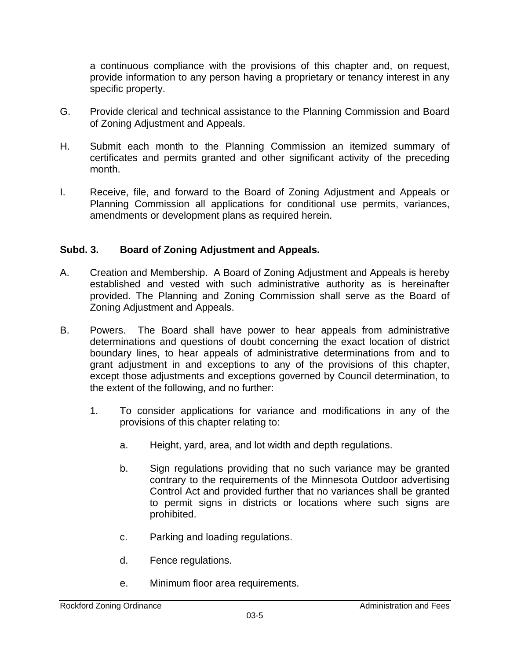a continuous compliance with the provisions of this chapter and, on request, provide information to any person having a proprietary or tenancy interest in any specific property.

- G. Provide clerical and technical assistance to the Planning Commission and Board of Zoning Adjustment and Appeals.
- H. Submit each month to the Planning Commission an itemized summary of certificates and permits granted and other significant activity of the preceding month.
- I. Receive, file, and forward to the Board of Zoning Adjustment and Appeals or Planning Commission all applications for conditional use permits, variances, amendments or development plans as required herein.

### **Subd. 3. Board of Zoning Adjustment and Appeals.**

- A. Creation and Membership. A Board of Zoning Adjustment and Appeals is hereby established and vested with such administrative authority as is hereinafter provided. The Planning and Zoning Commission shall serve as the Board of Zoning Adjustment and Appeals.
- B. Powers. The Board shall have power to hear appeals from administrative determinations and questions of doubt concerning the exact location of district boundary lines, to hear appeals of administrative determinations from and to grant adjustment in and exceptions to any of the provisions of this chapter, except those adjustments and exceptions governed by Council determination, to the extent of the following, and no further:
	- 1. To consider applications for variance and modifications in any of the provisions of this chapter relating to:
		- a. Height, yard, area, and lot width and depth regulations.
		- b. Sign regulations providing that no such variance may be granted contrary to the requirements of the Minnesota Outdoor advertising Control Act and provided further that no variances shall be granted to permit signs in districts or locations where such signs are prohibited.
		- c. Parking and loading regulations.
		- d. Fence regulations.
		- e. Minimum floor area requirements.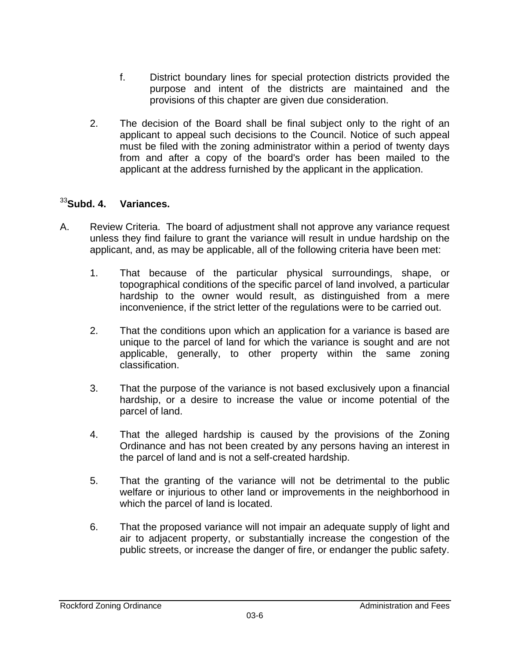- f. District boundary lines for special protection districts provided the purpose and intent of the districts are maintained and the provisions of this chapter are given due consideration.
- 2. The decision of the Board shall be final subject only to the right of an applicant to appeal such decisions to the Council. Notice of such appeal must be filed with the zoning administrator within a period of twenty days from and after a copy of the board's order has been mailed to the applicant at the address furnished by the applicant in the application.

# <sup>33</sup>**Subd. 4. Variances.**

- A. Review Criteria. The board of adjustment shall not approve any variance request unless they find failure to grant the variance will result in undue hardship on the applicant, and, as may be applicable, all of the following criteria have been met:
	- 1. That because of the particular physical surroundings, shape, or topographical conditions of the specific parcel of land involved, a particular hardship to the owner would result, as distinguished from a mere inconvenience, if the strict letter of the regulations were to be carried out.
	- 2. That the conditions upon which an application for a variance is based are unique to the parcel of land for which the variance is sought and are not applicable, generally, to other property within the same zoning classification.
	- 3. That the purpose of the variance is not based exclusively upon a financial hardship, or a desire to increase the value or income potential of the parcel of land.
	- 4. That the alleged hardship is caused by the provisions of the Zoning Ordinance and has not been created by any persons having an interest in the parcel of land and is not a self-created hardship.
	- 5. That the granting of the variance will not be detrimental to the public welfare or injurious to other land or improvements in the neighborhood in which the parcel of land is located.
	- 6. That the proposed variance will not impair an adequate supply of light and air to adjacent property, or substantially increase the congestion of the public streets, or increase the danger of fire, or endanger the public safety.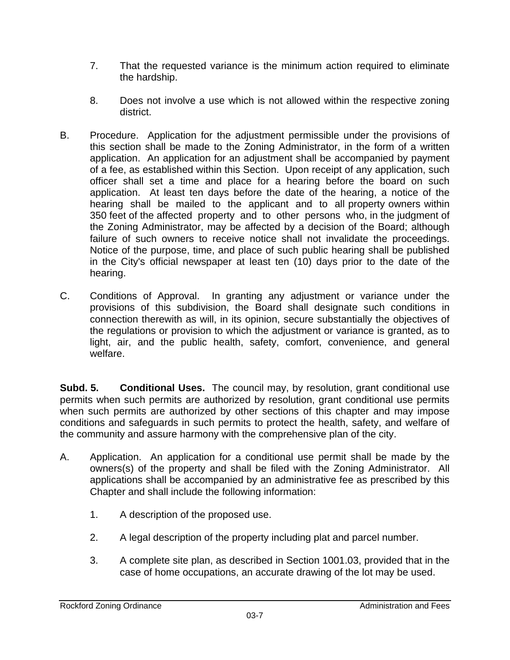- 7. That the requested variance is the minimum action required to eliminate the hardship.
- 8. Does not involve a use which is not allowed within the respective zoning district.
- B. Procedure. Application for the adjustment permissible under the provisions of this section shall be made to the Zoning Administrator, in the form of a written application. An application for an adjustment shall be accompanied by payment of a fee, as established within this Section. Upon receipt of any application, such officer shall set a time and place for a hearing before the board on such application. At least ten days before the date of the hearing, a notice of the hearing shall be mailed to the applicant and to all property owners within 350 feet of the affected property and to other persons who, in the judgment of the Zoning Administrator, may be affected by a decision of the Board; although failure of such owners to receive notice shall not invalidate the proceedings. Notice of the purpose, time, and place of such public hearing shall be published in the City's official newspaper at least ten (10) days prior to the date of the hearing.
- C. Conditions of Approval. In granting any adjustment or variance under the provisions of this subdivision, the Board shall designate such conditions in connection therewith as will, in its opinion, secure substantially the objectives of the regulations or provision to which the adjustment or variance is granted, as to light, air, and the public health, safety, comfort, convenience, and general welfare.

**Subd. 5. Conditional Uses.** The council may, by resolution, grant conditional use permits when such permits are authorized by resolution, grant conditional use permits when such permits are authorized by other sections of this chapter and may impose conditions and safeguards in such permits to protect the health, safety, and welfare of the community and assure harmony with the comprehensive plan of the city.

- A. Application. An application for a conditional use permit shall be made by the owners(s) of the property and shall be filed with the Zoning Administrator. All applications shall be accompanied by an administrative fee as prescribed by this Chapter and shall include the following information:
	- 1. A description of the proposed use.
	- 2. A legal description of the property including plat and parcel number.
	- 3. A complete site plan, as described in Section 1001.03, provided that in the case of home occupations, an accurate drawing of the lot may be used.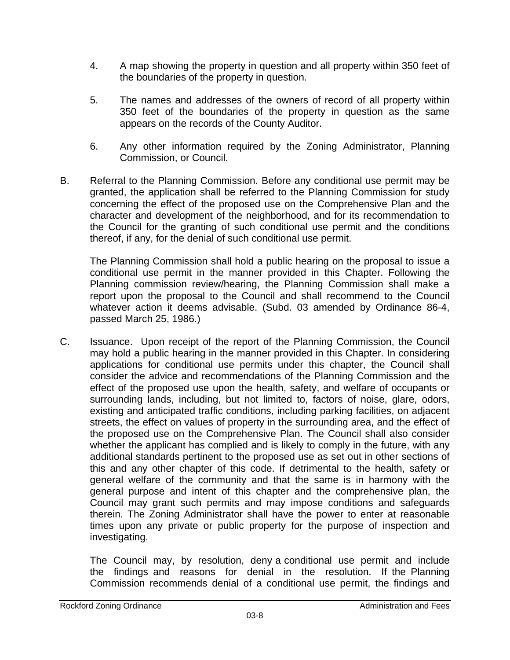- 4. A map showing the property in question and all property within 350 feet of the boundaries of the property in question.
- 5. The names and addresses of the owners of record of all property within 350 feet of the boundaries of the property in question as the same appears on the records of the County Auditor.
- 6. Any other information required by the Zoning Administrator, Planning Commission, or Council.
- B. Referral to the Planning Commission. Before any conditional use permit may be granted, the application shall be referred to the Planning Commission for study concerning the effect of the proposed use on the Comprehensive Plan and the character and development of the neighborhood, and for its recommendation to the Council for the granting of such conditional use permit and the conditions thereof, if any, for the denial of such conditional use permit.

The Planning Commission shall hold a public hearing on the proposal to issue a conditional use permit in the manner provided in this Chapter. Following the Planning commission review/hearing, the Planning Commission shall make a report upon the proposal to the Council and shall recommend to the Council whatever action it deems advisable. (Subd. 03 amended by Ordinance 86-4, passed March 25, 1986.)

C. Issuance. Upon receipt of the report of the Planning Commission, the Council may hold a public hearing in the manner provided in this Chapter. In considering applications for conditional use permits under this chapter, the Council shall consider the advice and recommendations of the Planning Commission and the effect of the proposed use upon the health, safety, and welfare of occupants or surrounding lands, including, but not limited to, factors of noise, glare, odors, existing and anticipated traffic conditions, including parking facilities, on adjacent streets, the effect on values of property in the surrounding area, and the effect of the proposed use on the Comprehensive Plan. The Council shall also consider whether the applicant has complied and is likely to comply in the future, with any additional standards pertinent to the proposed use as set out in other sections of this and any other chapter of this code. If detrimental to the health, safety or general welfare of the community and that the same is in harmony with the general purpose and intent of this chapter and the comprehensive plan, the Council may grant such permits and may impose conditions and safeguards therein. The Zoning Administrator shall have the power to enter at reasonable times upon any private or public property for the purpose of inspection and investigating.

 The Council may, by resolution, deny a conditional use permit and include the findings and reasons for denial in the resolution. If the Planning Commission recommends denial of a conditional use permit, the findings and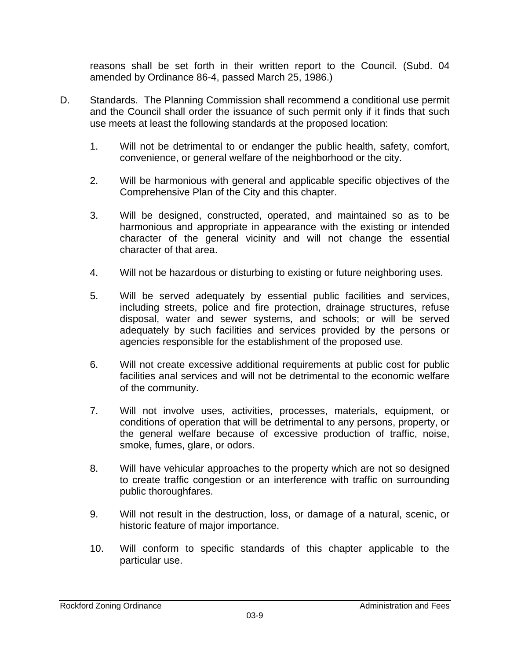reasons shall be set forth in their written report to the Council. (Subd. 04 amended by Ordinance 86-4, passed March 25, 1986.)

- D. Standards. The Planning Commission shall recommend a conditional use permit and the Council shall order the issuance of such permit only if it finds that such use meets at least the following standards at the proposed location:
	- 1. Will not be detrimental to or endanger the public health, safety, comfort, convenience, or general welfare of the neighborhood or the city.
	- 2. Will be harmonious with general and applicable specific objectives of the Comprehensive Plan of the City and this chapter.
	- 3. Will be designed, constructed, operated, and maintained so as to be harmonious and appropriate in appearance with the existing or intended character of the general vicinity and will not change the essential character of that area.
	- 4. Will not be hazardous or disturbing to existing or future neighboring uses.
	- 5. Will be served adequately by essential public facilities and services, including streets, police and fire protection, drainage structures, refuse disposal, water and sewer systems, and schools; or will be served adequately by such facilities and services provided by the persons or agencies responsible for the establishment of the proposed use.
	- 6. Will not create excessive additional requirements at public cost for public facilities anal services and will not be detrimental to the economic welfare of the community.
	- 7. Will not involve uses, activities, processes, materials, equipment, or conditions of operation that will be detrimental to any persons, property, or the general welfare because of excessive production of traffic, noise, smoke, fumes, glare, or odors.
	- 8. Will have vehicular approaches to the property which are not so designed to create traffic congestion or an interference with traffic on surrounding public thoroughfares.
	- 9. Will not result in the destruction, loss, or damage of a natural, scenic, or historic feature of major importance.
	- 10. Will conform to specific standards of this chapter applicable to the particular use.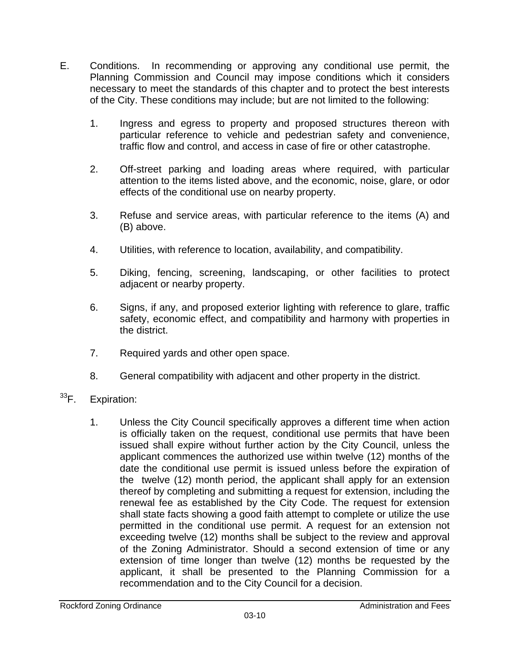- E. Conditions. In recommending or approving any conditional use permit, the Planning Commission and Council may impose conditions which it considers necessary to meet the standards of this chapter and to protect the best interests of the City. These conditions may include; but are not limited to the following:
	- 1. Ingress and egress to property and proposed structures thereon with particular reference to vehicle and pedestrian safety and convenience, traffic flow and control, and access in case of fire or other catastrophe.
	- 2. Off-street parking and loading areas where required, with particular attention to the items listed above, and the economic, noise, glare, or odor effects of the conditional use on nearby property.
	- 3. Refuse and service areas, with particular reference to the items (A) and (B) above.
	- 4. Utilities, with reference to location, availability, and compatibility.
	- 5. Diking, fencing, screening, landscaping, or other facilities to protect adjacent or nearby property.
	- 6. Signs, if any, and proposed exterior lighting with reference to glare, traffic safety, economic effect, and compatibility and harmony with properties in the district.
	- 7. Required yards and other open space.
	- 8. General compatibility with adjacent and other property in the district.
- <sup>33</sup>F. Expiration:
	- 1. Unless the City Council specifically approves a different time when action is officially taken on the request, conditional use permits that have been issued shall expire without further action by the City Council, unless the applicant commences the authorized use within twelve (12) months of the date the conditional use permit is issued unless before the expiration of the twelve (12) month period, the applicant shall apply for an extension thereof by completing and submitting a request for extension, including the renewal fee as established by the City Code. The request for extension shall state facts showing a good faith attempt to complete or utilize the use permitted in the conditional use permit. A request for an extension not exceeding twelve (12) months shall be subject to the review and approval of the Zoning Administrator. Should a second extension of time or any extension of time longer than twelve (12) months be requested by the applicant, it shall be presented to the Planning Commission for a recommendation and to the City Council for a decision.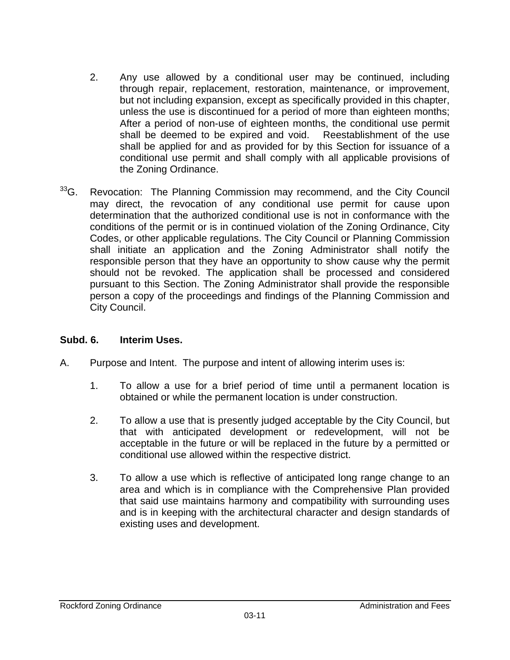- 2. Any use allowed by a conditional user may be continued, including through repair, replacement, restoration, maintenance, or improvement, but not including expansion, except as specifically provided in this chapter, unless the use is discontinued for a period of more than eighteen months; After a period of non-use of eighteen months, the conditional use permit shall be deemed to be expired and void. Reestablishment of the use shall be applied for and as provided for by this Section for issuance of a conditional use permit and shall comply with all applicable provisions of the Zoning Ordinance.
- <sup>33</sup>G. Revocation: The Planning Commission may recommend, and the City Council may direct, the revocation of any conditional use permit for cause upon determination that the authorized conditional use is not in conformance with the conditions of the permit or is in continued violation of the Zoning Ordinance, City Codes, or other applicable regulations. The City Council or Planning Commission shall initiate an application and the Zoning Administrator shall notify the responsible person that they have an opportunity to show cause why the permit should not be revoked. The application shall be processed and considered pursuant to this Section. The Zoning Administrator shall provide the responsible person a copy of the proceedings and findings of the Planning Commission and City Council.

#### **Subd. 6. Interim Uses.**

- A. Purpose and Intent. The purpose and intent of allowing interim uses is:
	- 1. To allow a use for a brief period of time until a permanent location is obtained or while the permanent location is under construction.
	- 2. To allow a use that is presently judged acceptable by the City Council, but that with anticipated development or redevelopment, will not be acceptable in the future or will be replaced in the future by a permitted or conditional use allowed within the respective district.
	- 3. To allow a use which is reflective of anticipated long range change to an area and which is in compliance with the Comprehensive Plan provided that said use maintains harmony and compatibility with surrounding uses and is in keeping with the architectural character and design standards of existing uses and development.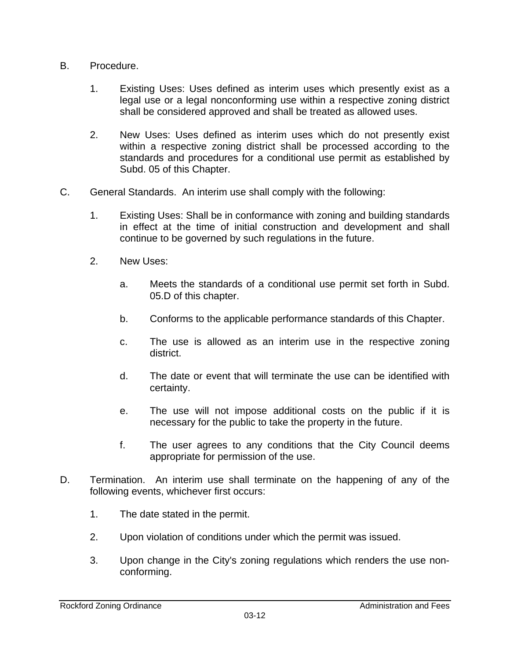- B. Procedure.
	- 1. Existing Uses: Uses defined as interim uses which presently exist as a legal use or a legal nonconforming use within a respective zoning district shall be considered approved and shall be treated as allowed uses.
	- 2. New Uses: Uses defined as interim uses which do not presently exist within a respective zoning district shall be processed according to the standards and procedures for a conditional use permit as established by Subd. 05 of this Chapter.
- C. General Standards. An interim use shall comply with the following:
	- 1. Existing Uses: Shall be in conformance with zoning and building standards in effect at the time of initial construction and development and shall continue to be governed by such regulations in the future.
	- 2. New Uses:
		- a. Meets the standards of a conditional use permit set forth in Subd. 05.D of this chapter.
		- b. Conforms to the applicable performance standards of this Chapter.
		- c. The use is allowed as an interim use in the respective zoning district.
		- d. The date or event that will terminate the use can be identified with certainty.
		- e. The use will not impose additional costs on the public if it is necessary for the public to take the property in the future.
		- f. The user agrees to any conditions that the City Council deems appropriate for permission of the use.
- D. Termination. An interim use shall terminate on the happening of any of the following events, whichever first occurs:
	- 1. The date stated in the permit.
	- 2. Upon violation of conditions under which the permit was issued.
	- 3. Upon change in the City's zoning regulations which renders the use nonconforming.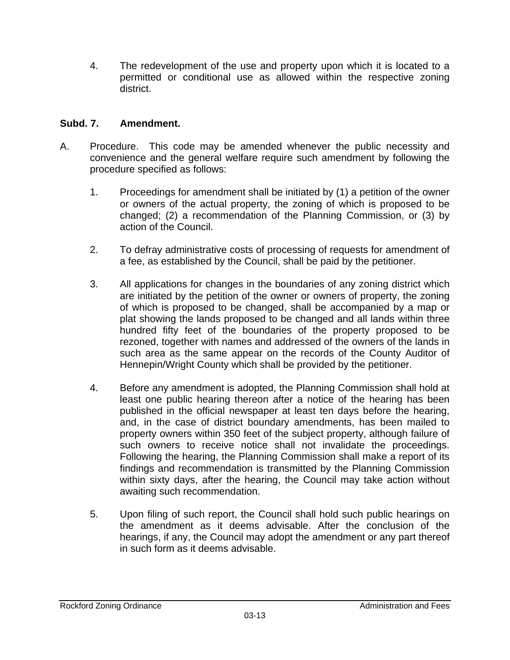4. The redevelopment of the use and property upon which it is located to a permitted or conditional use as allowed within the respective zoning district.

#### **Subd. 7. Amendment.**

- A. Procedure. This code may be amended whenever the public necessity and convenience and the general welfare require such amendment by following the procedure specified as follows:
	- 1. Proceedings for amendment shall be initiated by (1) a petition of the owner or owners of the actual property, the zoning of which is proposed to be changed; (2) a recommendation of the Planning Commission, or (3) by action of the Council.
	- 2. To defray administrative costs of processing of requests for amendment of a fee, as established by the Council, shall be paid by the petitioner.
	- 3. All applications for changes in the boundaries of any zoning district which are initiated by the petition of the owner or owners of property, the zoning of which is proposed to be changed, shall be accompanied by a map or plat showing the lands proposed to be changed and all lands within three hundred fifty feet of the boundaries of the property proposed to be rezoned, together with names and addressed of the owners of the lands in such area as the same appear on the records of the County Auditor of Hennepin/Wright County which shall be provided by the petitioner.
	- 4. Before any amendment is adopted, the Planning Commission shall hold at least one public hearing thereon after a notice of the hearing has been published in the official newspaper at least ten days before the hearing, and, in the case of district boundary amendments, has been mailed to property owners within 350 feet of the subject property, although failure of such owners to receive notice shall not invalidate the proceedings. Following the hearing, the Planning Commission shall make a report of its findings and recommendation is transmitted by the Planning Commission within sixty days, after the hearing, the Council may take action without awaiting such recommendation.
	- 5. Upon filing of such report, the Council shall hold such public hearings on the amendment as it deems advisable. After the conclusion of the hearings, if any, the Council may adopt the amendment or any part thereof in such form as it deems advisable.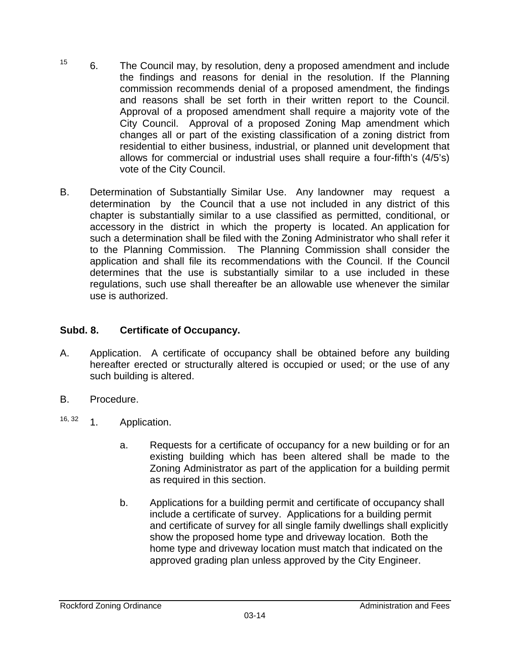- $15$  6. The Council may, by resolution, deny a proposed amendment and include the findings and reasons for denial in the resolution. If the Planning commission recommends denial of a proposed amendment, the findings and reasons shall be set forth in their written report to the Council. Approval of a proposed amendment shall require a majority vote of the City Council. Approval of a proposed Zoning Map amendment which changes all or part of the existing classification of a zoning district from residential to either business, industrial, or planned unit development that allows for commercial or industrial uses shall require a four-fifth's (4/5's) vote of the City Council.
- B. Determination of Substantially Similar Use. Any landowner may request a determination by the Council that a use not included in any district of this chapter is substantially similar to a use classified as permitted, conditional, or accessory in the district in which the property is located. An application for such a determination shall be filed with the Zoning Administrator who shall refer it to the Planning Commission. The Planning Commission shall consider the application and shall file its recommendations with the Council. If the Council determines that the use is substantially similar to a use included in these regulations, such use shall thereafter be an allowable use whenever the similar use is authorized.

### **Subd. 8. Certificate of Occupancy.**

- A. Application. A certificate of occupancy shall be obtained before any building hereafter erected or structurally altered is occupied or used; or the use of any such building is altered.
- B. Procedure.
- $16, 32$  1. Application.
	- a. Requests for a certificate of occupancy for a new building or for an existing building which has been altered shall be made to the Zoning Administrator as part of the application for a building permit as required in this section.
	- b. Applications for a building permit and certificate of occupancy shall include a certificate of survey. Applications for a building permit and certificate of survey for all single family dwellings shall explicitly show the proposed home type and driveway location. Both the home type and driveway location must match that indicated on the approved grading plan unless approved by the City Engineer.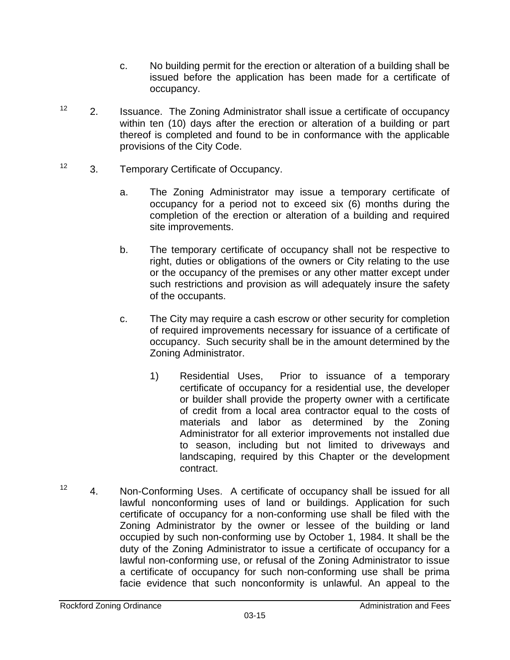- c. No building permit for the erection or alteration of a building shall be issued before the application has been made for a certificate of occupancy.
- $12$  2. Issuance. The Zoning Administrator shall issue a certificate of occupancy within ten (10) days after the erection or alteration of a building or part thereof is completed and found to be in conformance with the applicable provisions of the City Code.
- <sup>12</sup> 3. Temporary Certificate of Occupancy.
	- a. The Zoning Administrator may issue a temporary certificate of occupancy for a period not to exceed six (6) months during the completion of the erection or alteration of a building and required site improvements.
	- b. The temporary certificate of occupancy shall not be respective to right, duties or obligations of the owners or City relating to the use or the occupancy of the premises or any other matter except under such restrictions and provision as will adequately insure the safety of the occupants.
	- c. The City may require a cash escrow or other security for completion of required improvements necessary for issuance of a certificate of occupancy. Such security shall be in the amount determined by the Zoning Administrator.
		- 1) Residential Uses, Prior to issuance of a temporary certificate of occupancy for a residential use, the developer or builder shall provide the property owner with a certificate of credit from a local area contractor equal to the costs of materials and labor as determined by the Zoning Administrator for all exterior improvements not installed due to season, including but not limited to driveways and landscaping, required by this Chapter or the development contract.
- <sup>12</sup> 4. Non-Conforming Uses. A certificate of occupancy shall be issued for all lawful nonconforming uses of land or buildings. Application for such certificate of occupancy for a non-conforming use shall be filed with the Zoning Administrator by the owner or lessee of the building or land occupied by such non-conforming use by October 1, 1984. It shall be the duty of the Zoning Administrator to issue a certificate of occupancy for a lawful non-conforming use, or refusal of the Zoning Administrator to issue a certificate of occupancy for such non-conforming use shall be prima facie evidence that such nonconformity is unlawful. An appeal to the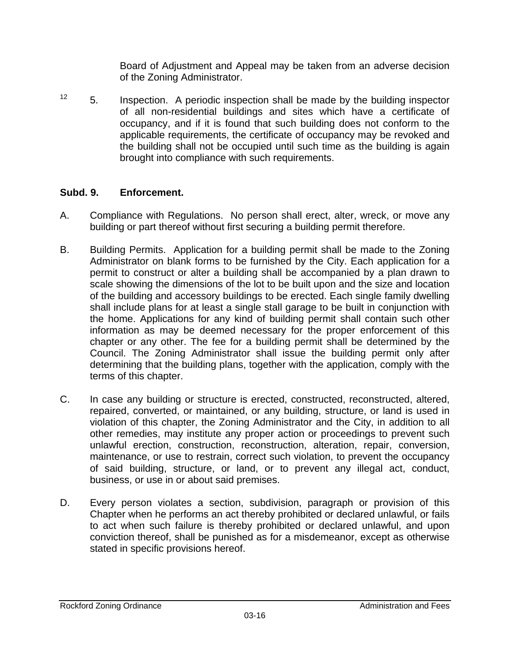Board of Adjustment and Appeal may be taken from an adverse decision of the Zoning Administrator.

 $12$  5. Inspection. A periodic inspection shall be made by the building inspector of all non-residential buildings and sites which have a certificate of occupancy, and if it is found that such building does not conform to the applicable requirements, the certificate of occupancy may be revoked and the building shall not be occupied until such time as the building is again brought into compliance with such requirements.

## **Subd. 9. Enforcement.**

- A. Compliance with Regulations. No person shall erect, alter, wreck, or move any building or part thereof without first securing a building permit therefore.
- B. Building Permits. Application for a building permit shall be made to the Zoning Administrator on blank forms to be furnished by the City. Each application for a permit to construct or alter a building shall be accompanied by a plan drawn to scale showing the dimensions of the lot to be built upon and the size and location of the building and accessory buildings to be erected. Each single family dwelling shall include plans for at least a single stall garage to be built in conjunction with the home. Applications for any kind of building permit shall contain such other information as may be deemed necessary for the proper enforcement of this chapter or any other. The fee for a building permit shall be determined by the Council. The Zoning Administrator shall issue the building permit only after determining that the building plans, together with the application, comply with the terms of this chapter.
- C. In case any building or structure is erected, constructed, reconstructed, altered, repaired, converted, or maintained, or any building, structure, or land is used in violation of this chapter, the Zoning Administrator and the City, in addition to all other remedies, may institute any proper action or proceedings to prevent such unlawful erection, construction, reconstruction, alteration, repair, conversion, maintenance, or use to restrain, correct such violation, to prevent the occupancy of said building, structure, or land, or to prevent any illegal act, conduct, business, or use in or about said premises.
- D. Every person violates a section, subdivision, paragraph or provision of this Chapter when he performs an act thereby prohibited or declared unlawful, or fails to act when such failure is thereby prohibited or declared unlawful, and upon conviction thereof, shall be punished as for a misdemeanor, except as otherwise stated in specific provisions hereof.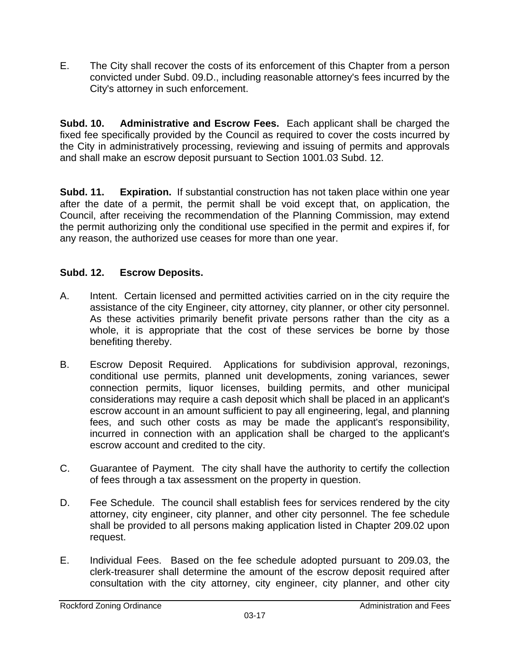E. The City shall recover the costs of its enforcement of this Chapter from a person convicted under Subd. 09.D., including reasonable attorney's fees incurred by the City's attorney in such enforcement.

**Subd. 10. Administrative and Escrow Fees.** Each applicant shall be charged the fixed fee specifically provided by the Council as required to cover the costs incurred by the City in administratively processing, reviewing and issuing of permits and approvals and shall make an escrow deposit pursuant to Section 1001.03 Subd. 12.

**Subd. 11. Expiration.** If substantial construction has not taken place within one year after the date of a permit, the permit shall be void except that, on application, the Council, after receiving the recommendation of the Planning Commission, may extend the permit authorizing only the conditional use specified in the permit and expires if, for any reason, the authorized use ceases for more than one year.

### **Subd. 12. Escrow Deposits.**

- A. Intent. Certain licensed and permitted activities carried on in the city require the assistance of the city Engineer, city attorney, city planner, or other city personnel. As these activities primarily benefit private persons rather than the city as a whole, it is appropriate that the cost of these services be borne by those benefiting thereby.
- B. Escrow Deposit Required. Applications for subdivision approval, rezonings, conditional use permits, planned unit developments, zoning variances, sewer connection permits, liquor licenses, building permits, and other municipal considerations may require a cash deposit which shall be placed in an applicant's escrow account in an amount sufficient to pay all engineering, legal, and planning fees, and such other costs as may be made the applicant's responsibility, incurred in connection with an application shall be charged to the applicant's escrow account and credited to the city.
- C. Guarantee of Payment. The city shall have the authority to certify the collection of fees through a tax assessment on the property in question.
- D. Fee Schedule. The council shall establish fees for services rendered by the city attorney, city engineer, city planner, and other city personnel. The fee schedule shall be provided to all persons making application listed in Chapter 209.02 upon request.
- E. Individual Fees. Based on the fee schedule adopted pursuant to 209.03, the clerk-treasurer shall determine the amount of the escrow deposit required after consultation with the city attorney, city engineer, city planner, and other city